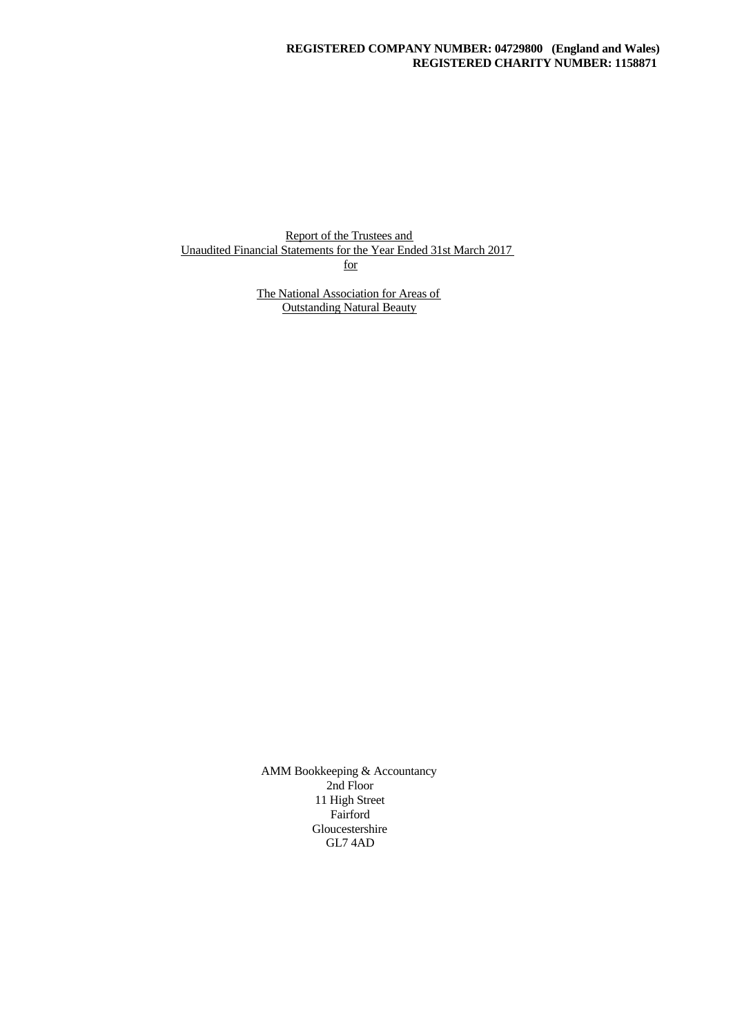Report of the Trustees and Unaudited Financial Statements for the Year Ended 31st March 2017 for

> The National Association for Areas of Outstanding Natural Beauty

AMM Bookkeeping & Accountancy 2nd Floor 11 High Street Fairford Gloucestershire GL7 4AD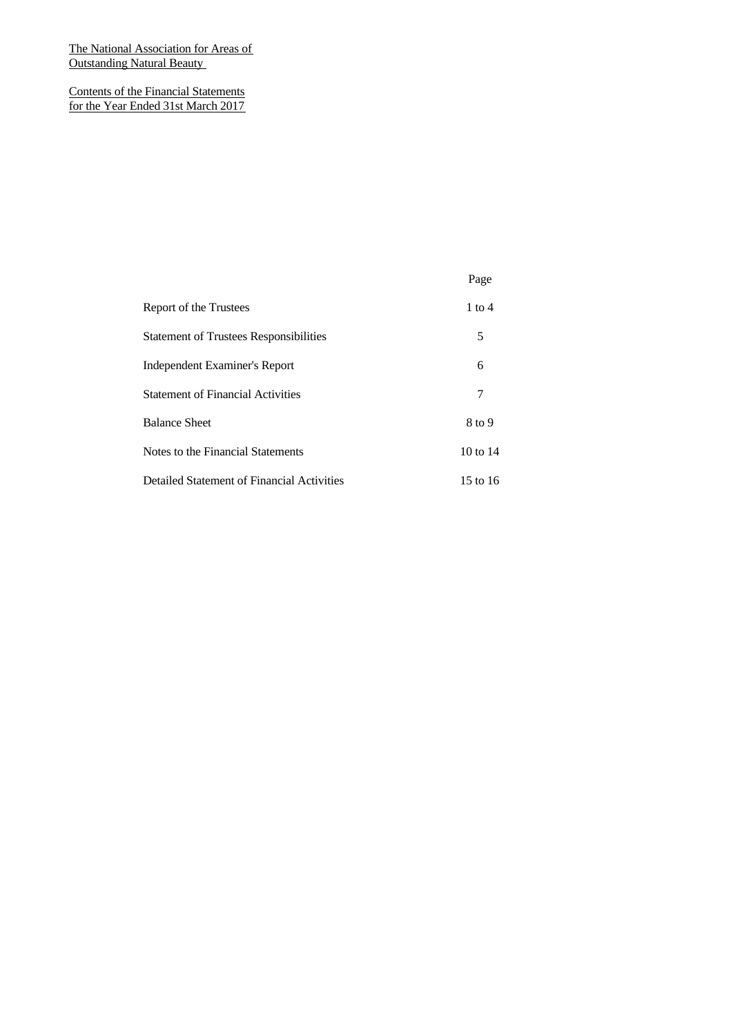Contents of the Financial Statements for the Year Ended 31st March 2017

|                                               | Page       |  |
|-----------------------------------------------|------------|--|
| Report of the Trustees                        | $1$ to $4$ |  |
| <b>Statement of Trustees Responsibilities</b> | 5          |  |
| Independent Examiner's Report                 | 6          |  |
| <b>Statement of Financial Activities</b>      | 7          |  |
| <b>Balance Sheet</b>                          | 8 to 9     |  |
| Notes to the Financial Statements             | 10 to 14   |  |
| Detailed Statement of Financial Activities    | 15 to 16   |  |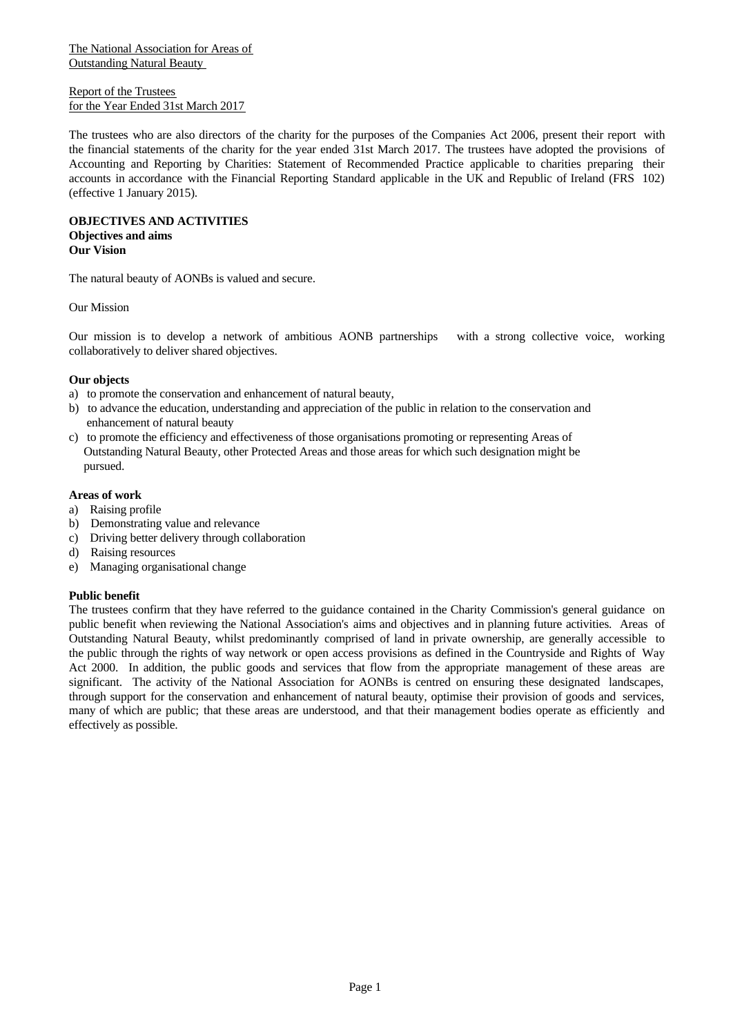Report of the Trustees for the Year Ended 31st March 2017

The trustees who are also directors of the charity for the purposes of the Companies Act 2006, present their report with the financial statements of the charity for the year ended 31st March 2017. The trustees have adopted the provisions of Accounting and Reporting by Charities: Statement of Recommended Practice applicable to charities preparing their accounts in accordance with the Financial Reporting Standard applicable in the UK and Republic of Ireland (FRS 102) (effective 1 January 2015).

**OBJECTIVES AND ACTIVITIES Objectives and aims Our Vision**

The natural beauty of AONBs is valued and secure.

Our Mission

Our mission is to develop a network of ambitious AONB partnershipswith a strong collective voice, working collaboratively to deliver shared objectives.

## **Our objects**

- a) to promote the conservation and enhancement of natural beauty,
- b) to advance the education, understanding and appreciation of the public in relation to the conservation and enhancement of natural beauty
- c) to promote the efficiency and effectiveness of those organisations promoting or representing Areas of Outstanding Natural Beauty, other Protected Areas and those areas for which such designation might be pursued.

#### **Areas of work**

- a) Raising profile
- b) Demonstrating value and relevance
- c) Driving better delivery through collaboration
- d) Raising resources
- e) Managing organisational change

#### **Public benefit**

The trustees confirm that they have referred to the guidance contained in the Charity Commission's general guidance on public benefit when reviewing the National Association's aims and objectives and in planning future activities. Areas of Outstanding Natural Beauty, whilst predominantly comprised of land in private ownership, are generally accessible to the public through the rights of way network or open access provisions as defined in the Countryside and Rights of Way Act 2000. In addition, the public goods and services that flow from the appropriate management of these areas are significant. The activity of the National Association for AONBs is centred on ensuring these designated landscapes, through support for the conservation and enhancement of natural beauty, optimise their provision of goods and services, many of which are public; that these areas are understood, and that their management bodies operate as efficiently and effectively as possible.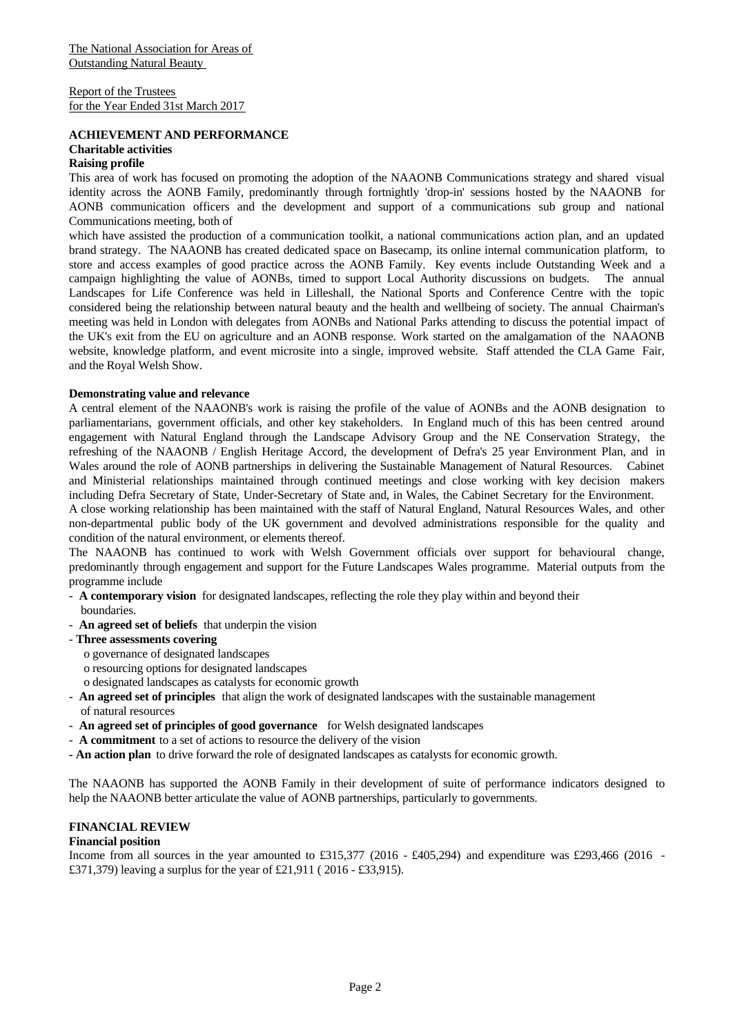Report of the Trustees for the Year Ended 31st March 2017

#### **ACHIEVEMENT AND PERFORMANCE Charitable activities Raising profile**

This area of work has focused on promoting the adoption of the NAAONB Communications strategy and shared visual identity across the AONB Family, predominantly through fortnightly 'drop-in' sessions hosted by the NAAONB for AONB communication officers and the development and support of a communications sub group and national Communications meeting, both of

which have assisted the production of a communication toolkit, a national communications action plan, and an updated brand strategy. The NAAONB has created dedicated space on Basecamp, its online internal communication platform, to store and access examples of good practice across the AONB Family. Key events include Outstanding Week and a campaign highlighting the value of AONBs, timed to support Local Authority discussions on budgets. The annual Landscapes for Life Conference was held in Lilleshall, the National Sports and Conference Centre with the topic considered being the relationship between natural beauty and the health and wellbeing of society. The annual Chairman's meeting was held in London with delegates from AONBs and National Parks attending to discuss the potential impact of the UK's exit from the EU on agriculture and an AONB response. Work started on the amalgamation of the NAAONB website, knowledge platform, and event microsite into a single, improved website. Staff attended the CLA Game Fair, and the Royal Welsh Show.

## **Demonstrating value and relevance**

A central element of the NAAONB's work is raising the profile of the value of AONBs and the AONB designation to parliamentarians, government officials, and other key stakeholders. In England much of this has been centred around engagement with Natural England through the Landscape Advisory Group and the NE Conservation Strategy, the refreshing of the NAAONB / English Heritage Accord, the development of Defra's 25 year Environment Plan, and in Wales around the role of AONB partnerships in delivering the Sustainable Management of Natural Resources. Cabinet and Ministerial relationships maintained through continued meetings and close working with key decision makers including Defra Secretary of State, Under-Secretary of State and, in Wales, the Cabinet Secretary for the Environment.

A close working relationship has been maintained with the staffof Natural England, Natural Resources Wales, and other non-departmental public body of the UK government and devolved administrations responsible for the quality and condition of the natural environment, or elements thereof.

The NAAONB has continued to work with Welsh Government officials over support for behavioural change, predominantly through engagement and support for the Future Landscapes Wales programme. Material outputs from the programme include

- **A contemporary vision** for designated landscapes, reflecting the role they play within and beyond their boundaries.
- **An agreed set of beliefs** that underpin the vision
- **Three assessments covering**
	- o governance of designated landscapes
	- o resourcing options for designated landscapes
	- o designated landscapes as catalysts for economic growth
- **An agreed set of principles** that align the work of designated landscapes with the sustainable management of natural resources
- **An agreed set of principles of good governance** for Welsh designated landscapes
- **A commitment** to a set of actions to resource the delivery of the vision
- **An action plan** to drive forward the role of designated landscapes as catalysts for economic growth.

The NAAONB has supported the AONB Family in their development of suite of performance indicators designed to help the NAAONB better articulate the value of AONB partnerships, particularly to governments.

#### **FINANCIAL REVIEW**

#### **Financial position**

Income from all sources in the year amounted to £315,377 (2016 - £405,294) and expenditure was £293,466 (2016 -£371,379) leaving a surplus for the year of £21,911 ( 2016 - £33,915).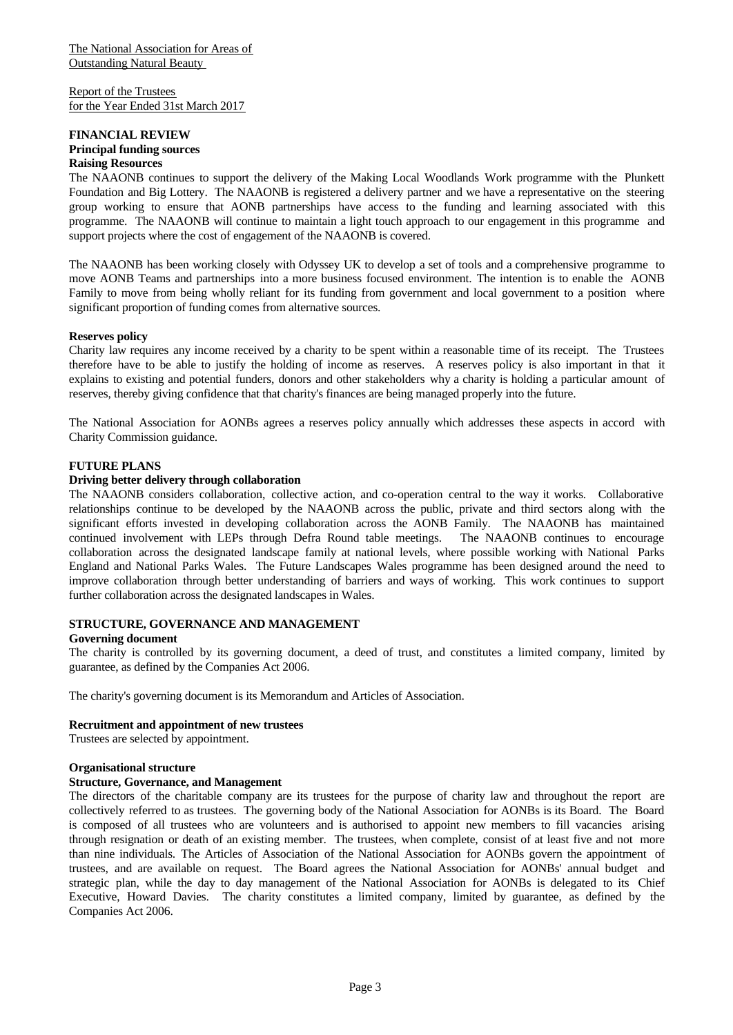Report of the Trustees for the Year Ended 31st March 2017

#### **FINANCIAL REVIEW Principal funding sources Raising Resources**

The NAAONB continues to support the delivery of the Making Local Woodlands Work programme with the Plunkett Foundation and Big Lottery. The NAAONB is registered a delivery partner and we have a representative on the steering group working to ensure that AONB partnerships have access to the funding and learning associated with this programme. The NAAONB will continue to maintain a light touch approach to our engagement in this programme and support projects where the cost of engagement of the NAAONB is covered.

The NAAONB has been working closely with Odyssey UK to develop a set of tools and a comprehensive programme to move AONB Teams and partnerships into a more business focused environment. The intention is to enable the AONB Family to move from being wholly reliant for its funding from government and local government to a position where significant proportion of funding comes from alternative sources.

#### **Reserves policy**

Charity law requires any income received by a charity to be spent within a reasonable time of its receipt. The Trustees therefore have to be able to justify the holding of income as reserves. A reserves policy is also important in that it explains to existing and potential funders, donors and other stakeholders why a charity is holding a particular amount of reserves, thereby giving confidence that that charity's finances are being managed properly into the future.

The National Association for AONBs agrees a reserves policy annually which addresses these aspects in accord with Charity Commission guidance.

# **FUTURE PLANS**

## **Driving better delivery through collaboration**

The NAAONB considers collaboration, collective action, and co-operation central to the way it works. Collaborative relationships continue to be developed by the NAAONB across the public, private and third sectors along with the significant efforts invested in developing collaboration across the AONB Family. The NAAONB has maintained continued involvement with LEPs through Defra Round table meetings. The NAAONB continues to encourage collaboration across the designated landscape family at national levels, where possible working with National Parks England and National Parks Wales. The Future Landscapes Wales programme has been designed around the need to improve collaboration through better understanding of barriers and ways of working. This work continues to support further collaboration across the designated landscapes in Wales.

#### **STRUCTURE, GOVERNANCE AND MANAGEMENT**

#### **Governing document**

The charity is controlled by its governing document, a deed of trust, and constitutes a limited company, limited by guarantee, as defined by the Companies Act 2006.

The charity's governing document is its Memorandum and Articles of Association.

# **Recruitment and appointment of new trustees**

Trustees are selected by appointment.

#### **Organisational structure**

#### **Structure, Governance, and Management**

The directors of the charitable company are its trustees for the purpose of charity law and throughout the report are collectively referred to as trustees. The governing body of the National Association for AONBs is its Board. The Board is composed of all trustees who are volunteers and is authorised to appoint new members to fill vacancies arising through resignation or death of an existing member. The trustees, when complete, consist of atleast five and not more than nine individuals. The Articles of Association of the National Association for AONBs govern the appointment of trustees, and are available on request. The Board agrees the National Association for AONBs' annual budget and strategic plan, while the day to day management of the National Association for AONBs is delegated to its Chief Executive, Howard Davies. The charity constitutes a limited company, limited by guarantee, as defined by the Companies Act 2006.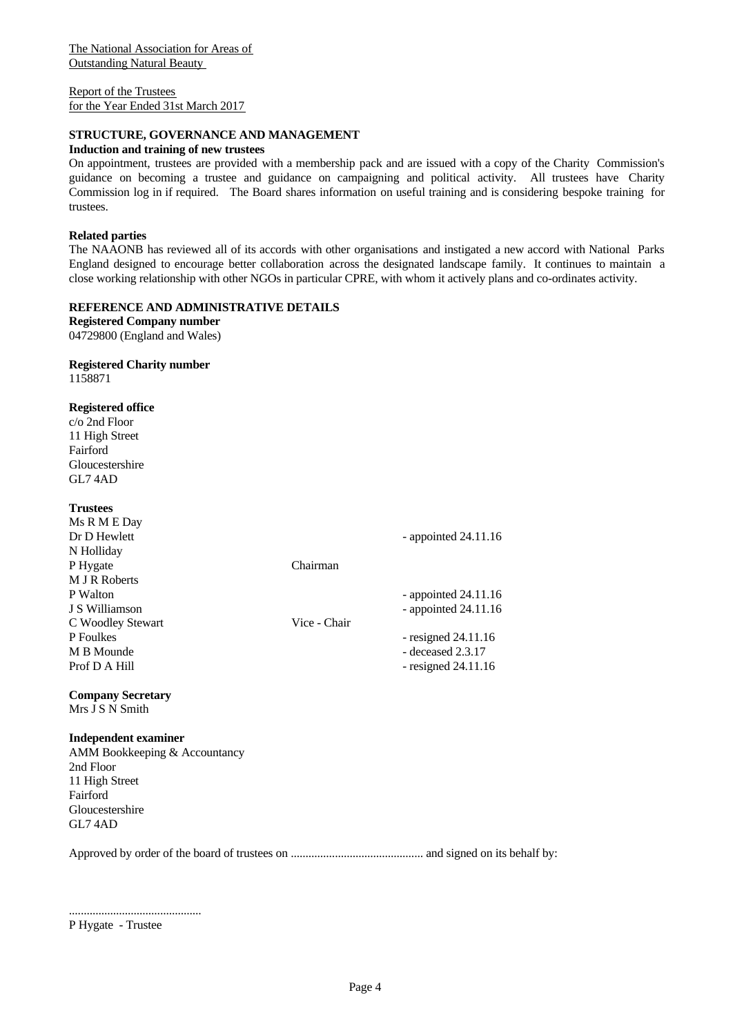Report of the Trustees for the Year Ended 31st March 2017

# **STRUCTURE, GOVERNANCE AND MANAGEMENT**

#### **Induction and training of new trustees**

On appointment, trustees are provided with a membership pack and are issued with a copy of the Charity Commission's guidance on becoming atrustee and guidance on campaigning and political activity. All trustees have Charity Commission log in if required. The Board shares information on useful training and is considering bespoke training for trustees.

#### **Related parties**

The NAAONB has reviewed all of its accords with other organisations and instigated a new accord with National Parks England designed to encourage better collaboration across the designated landscape family. It continues to maintain a close working relationship with other NGOs in particular CPRE, with whom it actively plans and co-ordinates activity.

#### **REFERENCE AND ADMINISTRATIVE DETAILS**

**Registered Company number** 04729800 (England and Wales)

# **Registered Charity number**

1158871

## **Registered office**

c/o 2nd Floor 11 High Street Fairford Gloucestershire GL7 4AD

| <b>Trustees</b>                                                                                                      |              |                        |  |
|----------------------------------------------------------------------------------------------------------------------|--------------|------------------------|--|
| Ms R M E Day                                                                                                         |              |                        |  |
| Dr D Hewlett                                                                                                         |              | - appointed $24.11.16$ |  |
| N Holliday                                                                                                           |              |                        |  |
| P Hygate                                                                                                             | Chairman     |                        |  |
| M J R Roberts                                                                                                        |              |                        |  |
| P Walton                                                                                                             |              | - appointed $24.11.16$ |  |
| J S Williamson                                                                                                       |              | - appointed $24.11.16$ |  |
| C Woodley Stewart                                                                                                    | Vice - Chair |                        |  |
| P Foulkes                                                                                                            |              | - resigned $24.11.16$  |  |
| M B Mounde                                                                                                           |              | $-$ deceased $2.3.17$  |  |
| Prof D A Hill                                                                                                        |              | - resigned $24.11.16$  |  |
| <b>Company Secretary</b>                                                                                             |              |                        |  |
| $\mathbf{v}$ $\mathbf{v}$ $\mathbf{v}$ $\mathbf{v}$ $\mathbf{v}$ $\mathbf{v}$ $\mathbf{v}$ $\mathbf{v}$ $\mathbf{v}$ |              |                        |  |

# Mrs J S N Smith

#### **Independent examiner**

AMM Bookkeeping & Accountancy 2nd Floor 11 High Street Fairford Gloucestershire GL7 4AD

Approved by order of the board of trustees on ............................................. and signed on its behalf by:

P Hygate - Trustee

.............................................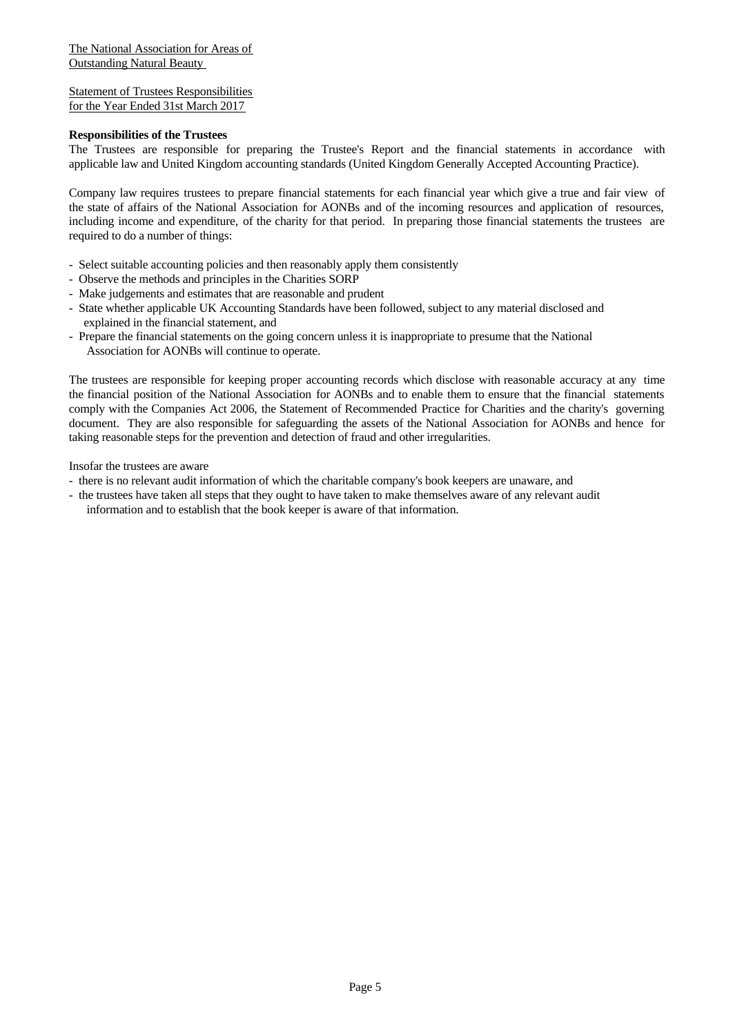Statement of Trustees Responsibilities for the Year Ended 31st March 2017

#### **Responsibilities of the Trustees**

The Trustees are responsible for preparing the Trustee's Report and the financial statements in accordance with applicable law and United Kingdom accounting standards (United Kingdom Generally Accepted Accounting Practice).

Company law requires trustees to prepare financial statements for each financial year which give a true and fair view of the state of affairs of the National Association for AONBs and of the incoming resources and application of resources, including income and expenditure, of the charity for that period. In preparing those financial statements the trustees are required to do a number of things:

- Select suitable accounting policies and then reasonably apply them consistently
- Observe the methods and principles in the Charities SORP
- Make judgements and estimates that are reasonable and prudent
- State whether applicable UK Accounting Standards have been followed, subject to any material disclosed and explained in the financial statement, and
- Prepare the financial statements on the going concern unless it is inappropriate to presume that the National Association for AONBs will continue to operate.

The trustees are responsible for keeping proper accounting records which disclose with reasonable accuracy at any time the financial position of the National Association for AONBs and to enable them to ensure that the financial statements comply with the Companies Act 2006, the Statement of Recommended Practice for Charities and the charity's governing document. They are also responsible for safeguarding the assets of the National Association for AONBs and hence for taking reasonable steps for the prevention and detection of fraud and other irregularities.

Insofar the trustees are aware

- there is no relevant audit information of which the charitable company's book keepers are unaware, and
- the trustees have taken all steps that they ought to have taken to make themselves aware of any relevant audit information and to establish that the book keeper is aware of that information.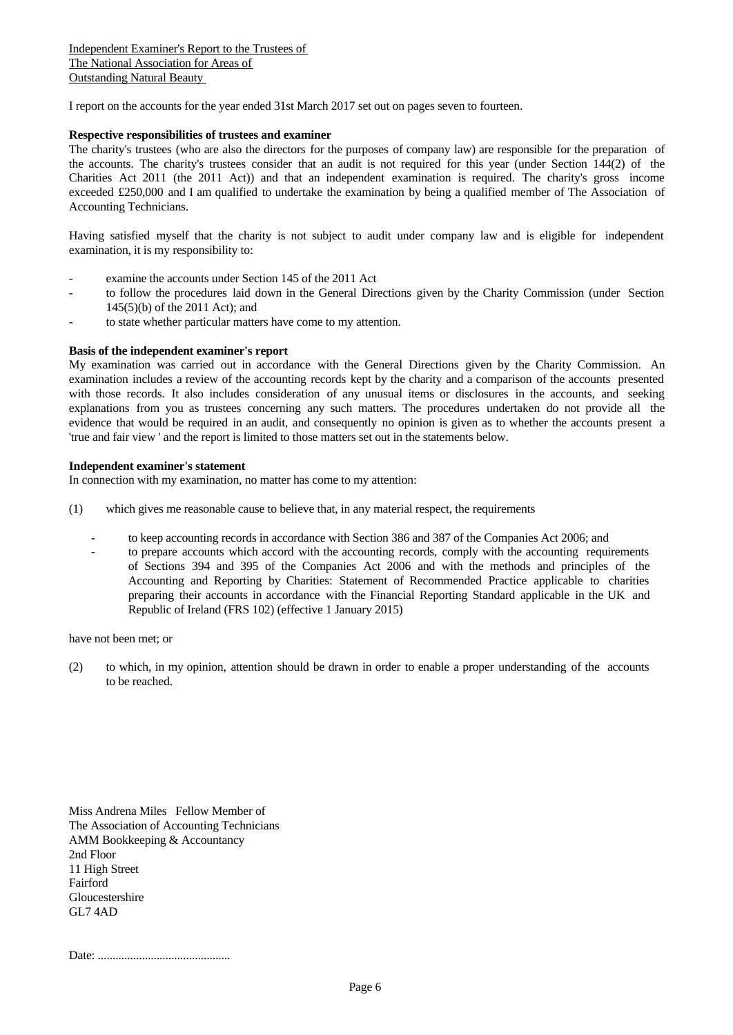I report on the accounts for the year ended 31st March 2017 set out on pages seven to fourteen.

#### **Respective responsibilities of trustees and examiner**

The charity's trustees (who are also the directors for the purposes of company law) are responsible for the preparation of the accounts. The charity's trustees consider that an audit is not required for this year (under Section 144(2) of the Charities Act 2011 (the 2011 Act)) and that an independent examination is required. The charity's gross income exceeded £250,000 and I am qualified to undertake the examination by being a qualified member of The Association of Accounting Technicians.

Having satisfied myself that the charity is not subject to audit under company law and is eligible for independent examination, it is my responsibility to:

- examine the accounts under Section 145 of the 2011 Act
- to follow the procedures laid down in the General Directions given by the Charity Commission (under Section 145(5)(b) of the 2011 Act); and
- to state whether particular matters have come to my attention.

#### **Basis of the independent examiner's report**

My examination was carried out in accordance with the General Directions given by the Charity Commission. An examination includes a review of the accounting records kept by the charity and a comparison of the accounts presented with those records. It also includes consideration of any unusual items or disclosures in the accounts, and seeking explanations from you as trustees concerning any such matters. The procedures undertaken do not provide all the evidence that would be required in an audit, and consequently no opinion is given as to whether the accounts present a 'true and fair view ' and the report is limited to those matters set out in the statements below.

#### **Independent examiner's statement**

In connection with my examination, no matter has come to my attention:

- (1) which gives me reasonable cause to believe that, in any material respect, the requirements
	- to keep accounting records in accordance with Section 386 and 387 of the Companies Act 2006; and
	- to prepare accounts which accord with the accounting records, comply with the accounting requirements of Sections 394 and 395 of the Companies Act 2006 and with the methods and principles of the Accounting and Reporting by Charities: Statement of Recommended Practice applicable to charities preparing their accounts in accordance with the Financial Reporting Standard applicable in the UK and Republic of Ireland (FRS 102) (effective 1 January 2015)

have not been met; or

(2) to which, in my opinion, attention should be drawn in order to enable a proper understanding of the accounts to be reached.

Miss Andrena Miles Fellow Member of The Association of Accounting Technicians AMM Bookkeeping & Accountancy 2nd Floor 11 High Street Fairford Gloucestershire GL7 4AD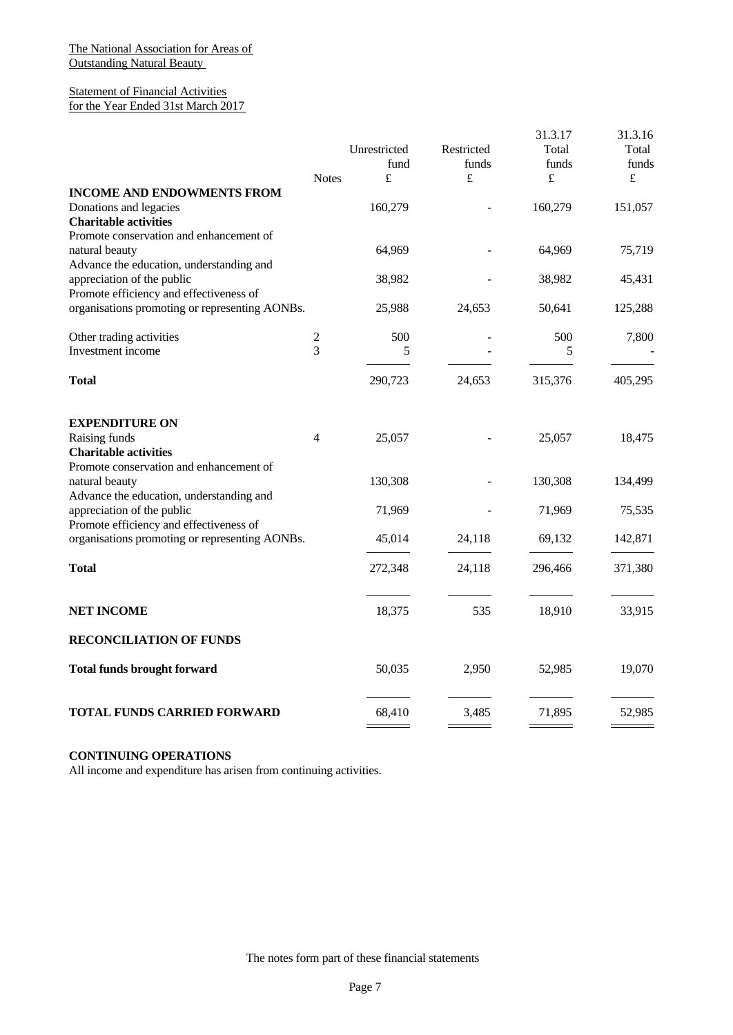## Statement of Financial Activities for the Year Ended 31st March 2017

|                                                                                                                                        |                              | Unrestricted<br>fund | Restricted<br>funds | 31.3.17<br>Total<br>funds | 31.3.16<br>Total<br>funds |  |
|----------------------------------------------------------------------------------------------------------------------------------------|------------------------------|----------------------|---------------------|---------------------------|---------------------------|--|
|                                                                                                                                        | <b>Notes</b>                 | $\pounds$            | £                   | £                         | $\pounds$                 |  |
| <b>INCOME AND ENDOWMENTS FROM</b><br>Donations and legacies<br><b>Charitable activities</b><br>Promote conservation and enhancement of |                              | 160,279              |                     | 160,279                   | 151,057                   |  |
| natural beauty<br>Advance the education, understanding and                                                                             |                              | 64,969               |                     | 64,969                    | 75,719                    |  |
| appreciation of the public<br>Promote efficiency and effectiveness of                                                                  |                              | 38,982               |                     | 38,982                    | 45,431                    |  |
| organisations promoting or representing AONBs.                                                                                         |                              | 25,988               | 24,653              | 50,641                    | 125,288                   |  |
| Other trading activities<br>Investment income                                                                                          | $\overline{\mathbf{c}}$<br>3 | 500<br>5             |                     | 500<br>5                  | 7,800                     |  |
| <b>Total</b>                                                                                                                           |                              | 290,723              | 24,653              | 315,376                   | 405,295                   |  |
| <b>EXPENDITURE ON</b>                                                                                                                  |                              |                      |                     |                           |                           |  |
| Raising funds<br><b>Charitable activities</b>                                                                                          | 4                            | 25,057               |                     | 25,057                    | 18,475                    |  |
| Promote conservation and enhancement of<br>natural beauty<br>Advance the education, understanding and                                  |                              | 130,308              |                     | 130,308                   | 134,499                   |  |
| appreciation of the public<br>Promote efficiency and effectiveness of                                                                  |                              | 71,969               |                     | 71,969                    | 75,535                    |  |
| organisations promoting or representing AONBs.                                                                                         |                              | 45,014               | 24,118              | 69,132                    | 142,871                   |  |
| <b>Total</b>                                                                                                                           |                              | 272,348              | 24,118              | 296,466                   | 371,380                   |  |
| <b>NET INCOME</b>                                                                                                                      |                              | 18,375               | 535                 | 18,910                    | 33,915                    |  |
| <b>RECONCILIATION OF FUNDS</b>                                                                                                         |                              |                      |                     |                           |                           |  |
| <b>Total funds brought forward</b>                                                                                                     |                              | 50,035               | 2,950               | 52,985                    | 19,070                    |  |
| TOTAL FUNDS CARRIED FORWARD                                                                                                            |                              | 68,410               | 3,485               | 71,895                    | 52,985                    |  |

# **CONTINUING OPERATIONS**

All income and expenditure has arisen from continuing activities.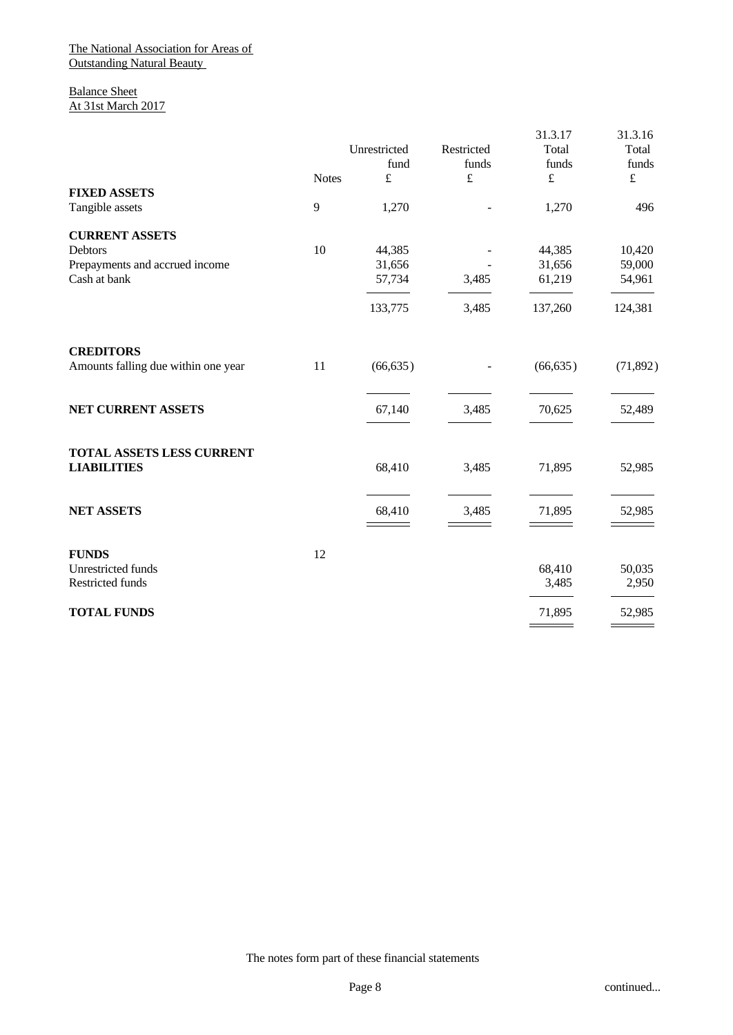Balance Sheet At 31st March 2017

|                                     |              | Unrestricted<br>fund | Restricted<br>funds<br>$\pounds$ | 31.3.17<br>Total<br>funds | 31.3.16<br>Total<br>funds |  |
|-------------------------------------|--------------|----------------------|----------------------------------|---------------------------|---------------------------|--|
| <b>FIXED ASSETS</b>                 | <b>Notes</b> | £                    |                                  | $\pounds$                 | $\pounds$                 |  |
| Tangible assets                     | 9            | 1,270                |                                  | 1,270                     | 496                       |  |
| <b>CURRENT ASSETS</b>               |              |                      |                                  |                           |                           |  |
| Debtors                             | 10           | 44,385               |                                  | 44,385                    | 10,420                    |  |
| Prepayments and accrued income      |              | 31,656               |                                  | 31,656                    | 59,000                    |  |
| Cash at bank                        |              | 57,734               | 3,485                            | 61,219                    | 54,961                    |  |
|                                     |              | 133,775              | 3,485                            | 137,260                   | 124,381                   |  |
| <b>CREDITORS</b>                    |              |                      |                                  |                           |                           |  |
| Amounts falling due within one year | 11           | (66, 635)            |                                  | (66, 635)                 | (71, 892)                 |  |
| NET CURRENT ASSETS                  |              | 67,140               | 3,485                            | 70,625                    | 52,489                    |  |
| TOTAL ASSETS LESS CURRENT           |              |                      |                                  |                           |                           |  |
| <b>LIABILITIES</b>                  |              | 68,410               | 3,485                            | 71,895                    | 52,985                    |  |
| <b>NET ASSETS</b>                   |              | 68,410               | 3,485                            | 71,895                    | 52,985                    |  |
|                                     |              |                      |                                  |                           |                           |  |
| <b>FUNDS</b>                        | 12           |                      |                                  |                           |                           |  |
| Unrestricted funds                  |              |                      |                                  | 68,410                    | 50,035                    |  |
| Restricted funds                    |              |                      |                                  | 3,485                     | 2,950                     |  |
| <b>TOTAL FUNDS</b>                  |              |                      |                                  | 71,895                    | 52,985                    |  |
|                                     |              |                      |                                  |                           |                           |  |

The notes form part of these financial statements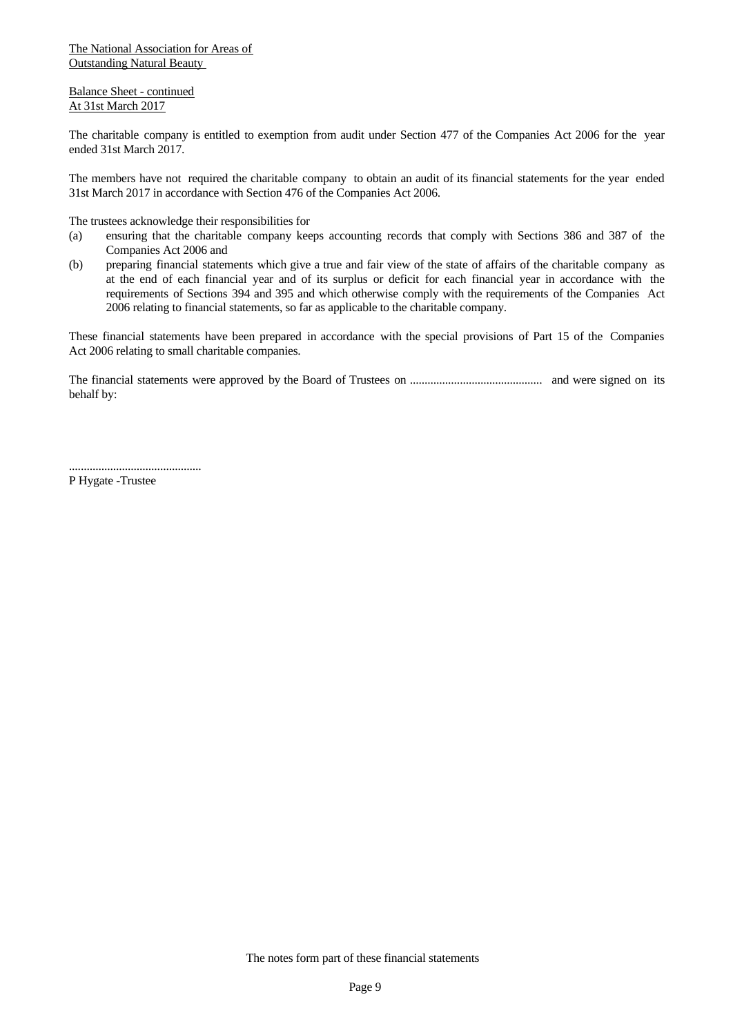Balance Sheet - continued At 31st March 2017

The charitable company is entitled to exemption from audit under Section 477 of the Companies Act 2006 for the year ended 31st March 2017.

The members have not required the charitable company to obtain an audit of its financial statements for the year ended 31st March 2017 in accordance with Section 476 of the Companies Act 2006.

The trustees acknowledge their responsibilities for

- (a) ensuring that the charitable company keeps accounting records that comply with Sections 386 and 387 of the Companies Act 2006 and
- (b) preparing financial statements which give a true and fair view of the state of affairs of the charitable company as at the end of each financial year and of its surplus or deficit for each financial year in accordance with the requirements of Sections 394 and 395 and which otherwise comply with the requirements of the Companies Act 2006 relating to financial statements, so far as applicable to the charitable company.

These financial statements have been prepared in accordance with the special provisions of Part 15 of the Companies Act 2006 relating to small charitable companies.

The financial statements were approved by the Board of Trustees on ............................................. and were signed on its behalf by:

P Hygate -Trustee

.............................................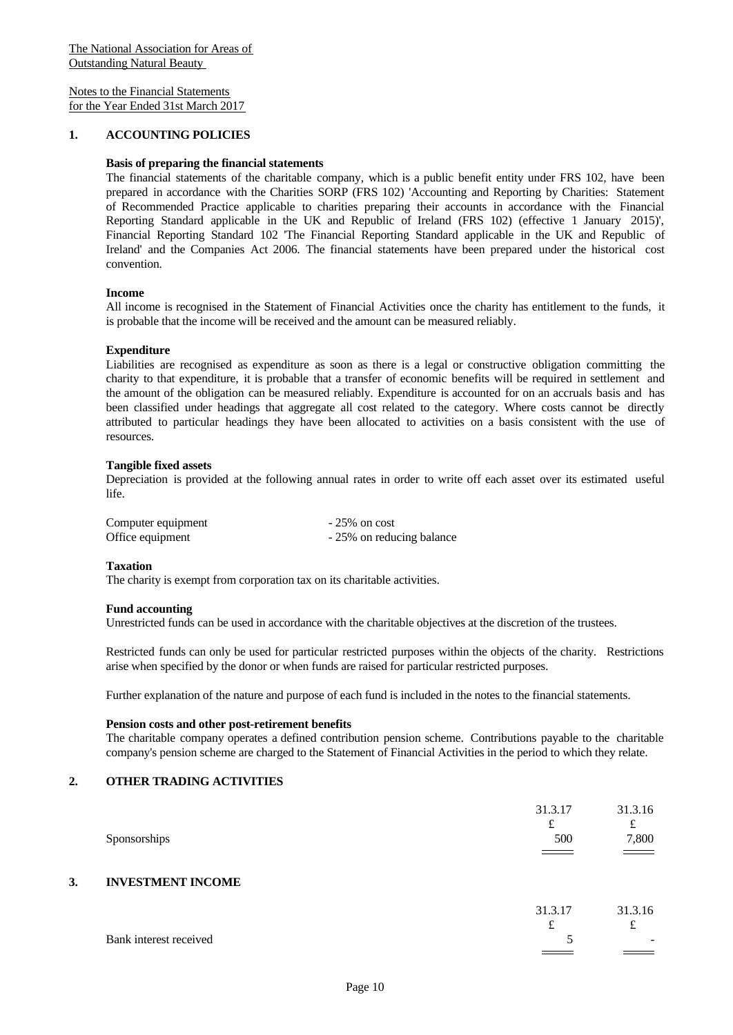#### **1. ACCOUNTING POLICIES**

#### **Basis of preparing the financial statements**

The financial statements of the charitable company, which is a public benefit entity under FRS 102, have been prepared in accordance with the Charities SORP (FRS 102) 'Accounting and Reporting by Charities: Statement of Recommended Practice applicable to charities preparing their accounts in accordance with the Financial Reporting Standard applicable in the UK and Republic of Ireland (FRS 102) (effective 1 January 2015)', Financial Reporting Standard 102 'The Financial Reporting Standard applicable in the UK and Republic of Ireland' and the Companies Act 2006. The financial statements have been prepared under the historical cost convention.

#### **Income**

All income is recognised in the Statement of Financial Activities once the charity has entitlement to the funds, it is probable that the income will be received and the amount can be measured reliably.

#### **Expenditure**

Liabilities are recognised as expenditure as soon as there is a legal or constructive obligation committing the charity to that expenditure, it is probable that a transfer of economic benefits will be required in settlement and the amount of the obligation can be measured reliably. Expenditure is accounted for on an accruals basis and has been classified under headings that aggregate all cost related to the category. Where costs cannot be directly attributed to particular headings they have been allocated to activities on a basis consistent with the use of resources.

#### **Tangible fixed assets**

Depreciation is provided at the following annual rates in order to write off each asset over its estimated useful life.

| Computer equipment | $-25\%$ on cost           |
|--------------------|---------------------------|
| Office equipment   | - 25% on reducing balance |

#### **Taxation**

The charity is exempt from corporation tax on its charitable activities.

#### **Fund accounting**

Unrestricted funds can be used in accordance with the charitable objectives at the discretion of the trustees.

Restricted funds can only be used for particular restricted purposes within the objects of the charity. Restrictions arise when specified by the donor or when funds are raised for particular restricted purposes.

Further explanation of the nature and purpose of each fund is included in the notes to the financial statements.

#### **Pension costs and other post-retirement benefits**

The charitable company operates a defined contribution pension scheme. Contributions payable to the charitable company's pension scheme are charged to the Statement of Financial Activities in the period to which they relate.

#### **2. OTHER TRADING ACTIVITIES**

|    | Sponsorships             | 31.3.17<br>£<br>500<br>$\equiv$ $\equiv$ $\equiv$ | 31.3.16<br>t<br>7,800<br>$\sim$ $\sim$   |
|----|--------------------------|---------------------------------------------------|------------------------------------------|
| 3. | <b>INVESTMENT INCOME</b> |                                                   |                                          |
|    | Bank interest received   | 31.3.17<br>£                                      | 31.3.16<br>£<br>$\overline{\phantom{a}}$ |
|    |                          |                                                   |                                          |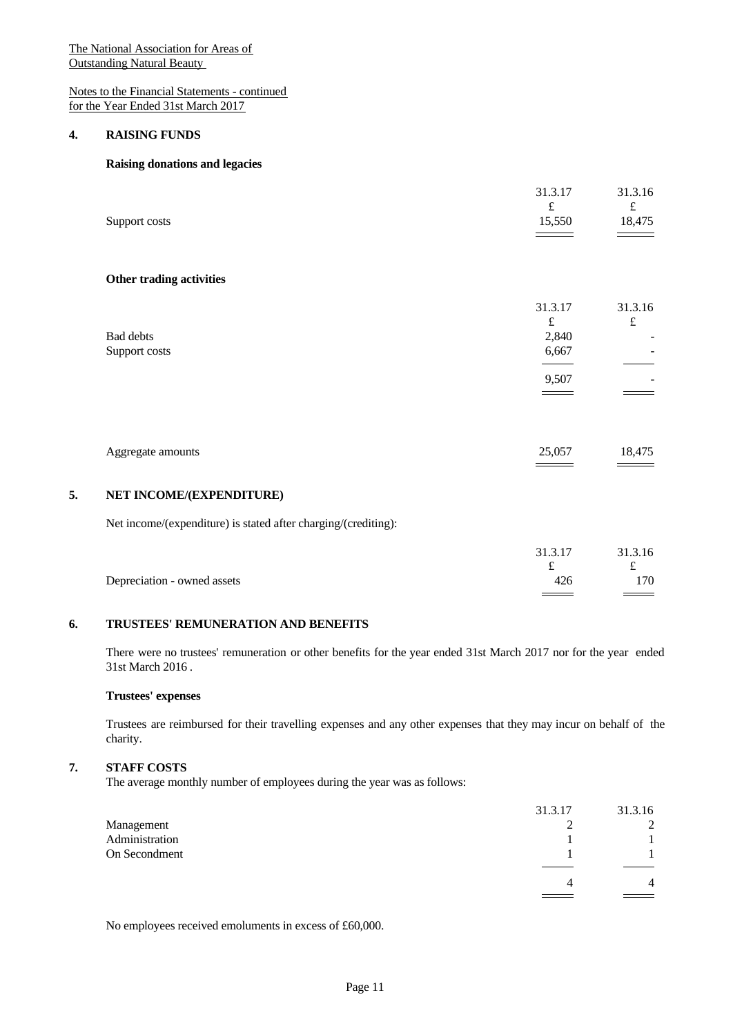Notes to the Financial Statements - continued for the Year Ended 31st March 2017

#### **4. RAISING FUNDS**

# **Raising donations and legacies**

| Support costs              | 31.3.17<br>$\pounds$<br>15,550                  | 31.3.16<br>$\pounds$<br>18,475 |
|----------------------------|-------------------------------------------------|--------------------------------|
| Other trading activities   |                                                 |                                |
| Bad debts<br>Support costs | 31.3.17<br>$\pounds$<br>2,840<br>6,667<br>9,507 | 31.3.16<br>$\pounds$<br>-      |
| Aggregate amounts          | 25,057                                          | 18,475                         |
| MET IMCOME#EVDEMINITUDE\   |                                                 |                                |

# **5. NET INCOME/(EXPENDITURE)**

Net income/(expenditure) is stated after charging/(crediting):

|                             | 31.3.17 | 31.3.16       |  |
|-----------------------------|---------|---------------|--|
|                             | ىم      | ∼             |  |
| Depreciation - owned assets | 426     | 170           |  |
|                             |         | $\sim$ $\sim$ |  |

#### **6. TRUSTEES' REMUNERATION AND BENEFITS**

There were no trustees' remuneration or other benefits for the year ended 31st March 2017 nor for the year ended 31st March 2016 .

#### **Trustees' expenses**

Trustees are reimbursed for their travelling expenses and any other expenses that they may incur on behalf of the charity.

## **7. STAFF COSTS**

The average monthly number of employees during the year was as follows:

|                | 31.3.17 | 31.3.16 |  |
|----------------|---------|---------|--|
| Management     | ∼       | ∸       |  |
| Administration |         |         |  |
| On Secondment  |         |         |  |
|                |         |         |  |
|                | 4       | 4       |  |
|                |         |         |  |

No employees received emoluments in excess of £60,000.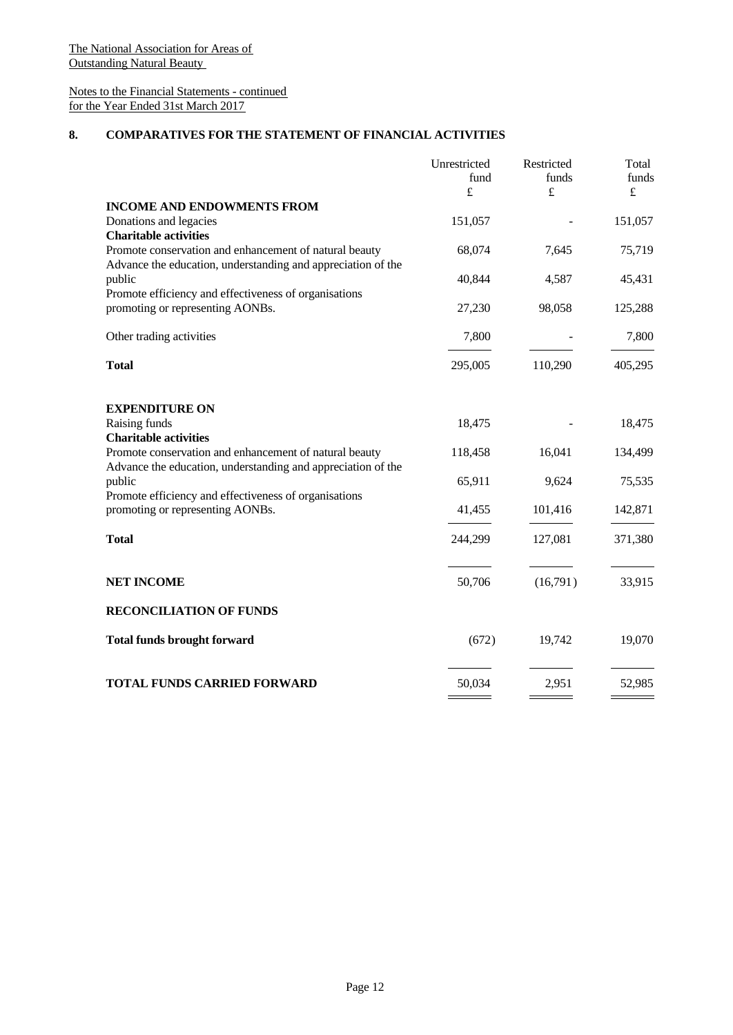# Notes to the Financial Statements - continued for the Year Ended 31st March 2017

## **8. COMPARATIVES FOR THE STATEMENT OF FINANCIAL ACTIVITIES**

|                                                                                                                        | Unrestricted | Restricted | Total   |  |
|------------------------------------------------------------------------------------------------------------------------|--------------|------------|---------|--|
|                                                                                                                        | fund         | funds      | funds   |  |
|                                                                                                                        | $\pounds$    | £          | £       |  |
| <b>INCOME AND ENDOWMENTS FROM</b><br>Donations and legacies                                                            | 151,057      |            | 151,057 |  |
| <b>Charitable activities</b>                                                                                           |              |            |         |  |
| Promote conservation and enhancement of natural beauty                                                                 | 68,074       | 7,645      | 75,719  |  |
| Advance the education, understanding and appreciation of the<br>public                                                 | 40,844       | 4,587      | 45,431  |  |
| Promote efficiency and effectiveness of organisations<br>promoting or representing AONBs.                              | 27,230       | 98,058     | 125,288 |  |
| Other trading activities                                                                                               | 7,800        |            | 7,800   |  |
| <b>Total</b>                                                                                                           | 295,005      | 110,290    | 405,295 |  |
|                                                                                                                        |              |            |         |  |
| <b>EXPENDITURE ON</b>                                                                                                  |              |            |         |  |
| Raising funds<br><b>Charitable activities</b>                                                                          | 18,475       |            | 18,475  |  |
| Promote conservation and enhancement of natural beauty<br>Advance the education, understanding and appreciation of the | 118,458      | 16,041     | 134,499 |  |
| public                                                                                                                 | 65,911       | 9,624      | 75,535  |  |
| Promote efficiency and effectiveness of organisations<br>promoting or representing AONBs.                              | 41,455       | 101,416    | 142,871 |  |
| <b>Total</b>                                                                                                           | 244,299      | 127,081    | 371,380 |  |
|                                                                                                                        |              |            |         |  |
| <b>NET INCOME</b>                                                                                                      | 50,706       | (16,791)   | 33,915  |  |
| <b>RECONCILIATION OF FUNDS</b>                                                                                         |              |            |         |  |
| <b>Total funds brought forward</b>                                                                                     | (672)        | 19,742     | 19,070  |  |
|                                                                                                                        |              |            |         |  |
| <b>TOTAL FUNDS CARRIED FORWARD</b>                                                                                     | 50,034       | 2,951      | 52,985  |  |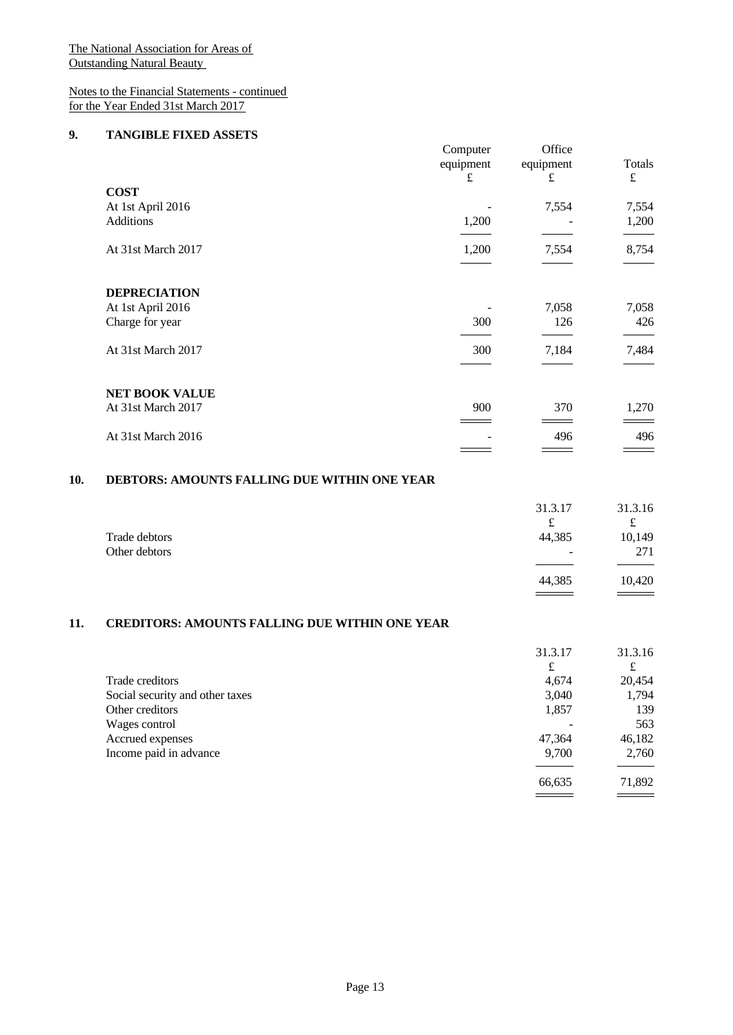## Notes to the Financial Statements - continued for the Year Ended 31st March 2017

#### **9. TANGIBLE FIXED ASSETS**

|                       | Computer<br>equipment | Office<br>equipment | Totals    |  |
|-----------------------|-----------------------|---------------------|-----------|--|
|                       | £                     | £                   | $\pounds$ |  |
| <b>COST</b>           |                       |                     |           |  |
| At 1st April 2016     |                       | 7,554               | 7,554     |  |
| Additions             | 1,200                 |                     | 1,200     |  |
|                       |                       |                     |           |  |
| At 31st March 2017    | 1,200                 | 7,554               | 8,754     |  |
|                       |                       |                     |           |  |
| <b>DEPRECIATION</b>   |                       |                     |           |  |
| At 1st April 2016     |                       | 7,058               | 7,058     |  |
| Charge for year       | 300                   | 126                 | 426       |  |
|                       |                       |                     |           |  |
| At 31st March 2017    | 300                   | 7,184               | 7,484     |  |
|                       |                       |                     |           |  |
| <b>NET BOOK VALUE</b> |                       |                     |           |  |
| At 31st March 2017    | 900                   | 370                 | 1,270     |  |
|                       |                       |                     |           |  |
| At 31st March 2016    |                       | 496                 | 496       |  |
|                       |                       |                     |           |  |

# **10. DEBTORS: AMOUNTS FALLING DUE WITHIN ONE YEAR**

|                                | 31.3.17<br>£     | 31.3.16<br>£  |  |
|--------------------------------|------------------|---------------|--|
| Trade debtors<br>Other debtors | 44,385<br>$\sim$ | 10,149<br>271 |  |
|                                | 44,385           | 10,420        |  |

# **11. CREDITORS: AMOUNTS FALLING DUE WITHIN ONE YEAR**

|                                 | 31.3.17 | 31.3.16                                   |  |
|---------------------------------|---------|-------------------------------------------|--|
|                                 | £       | £                                         |  |
| Trade creditors                 | 4,674   | 20,454                                    |  |
| Social security and other taxes | 3,040   | 1,794                                     |  |
| Other creditors                 | 1,857   | 139                                       |  |
| Wages control                   |         | 563                                       |  |
| Accrued expenses                | 47,364  | 46,182                                    |  |
| Income paid in advance          | 9,700   | 2,760                                     |  |
|                                 |         |                                           |  |
|                                 | 66,635  | 71,892                                    |  |
|                                 |         | $\qquad \qquad \overline{\qquad \qquad }$ |  |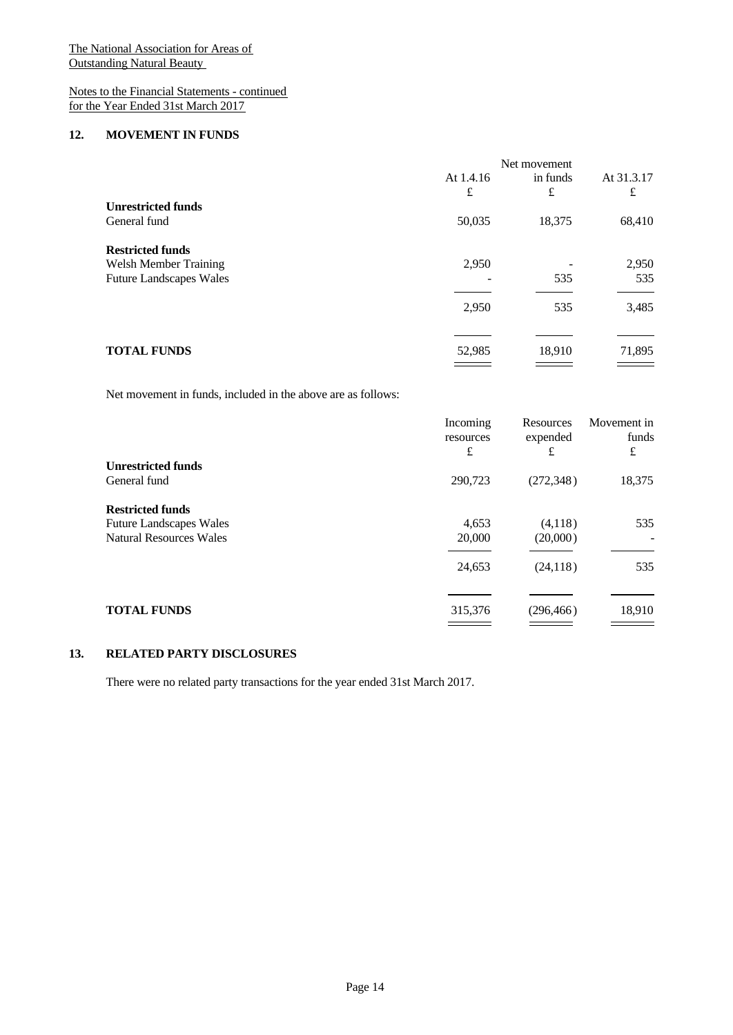# Notes to the Financial Statements - continued for the Year Ended 31st March 2017

#### **12. MOVEMENT IN FUNDS**

|                                | Net movement   |               |                 |  |
|--------------------------------|----------------|---------------|-----------------|--|
|                                | At 1.4.16<br>£ | in funds<br>£ | At 31.3.17<br>£ |  |
| <b>Unrestricted funds</b>      |                |               |                 |  |
| General fund                   | 50,035         | 18,375        | 68,410          |  |
| <b>Restricted funds</b>        |                |               |                 |  |
| <b>Welsh Member Training</b>   | 2,950          |               | 2,950           |  |
| <b>Future Landscapes Wales</b> |                | 535           | 535             |  |
|                                | 2,950          | 535           | 3,485           |  |
|                                |                |               |                 |  |
| <b>TOTAL FUNDS</b>             | 52,985         | 18,910        | 71,895          |  |
|                                |                |               |                 |  |

Net movement in funds, included in the above are as follows:

|                                | Incoming<br>resources<br>£ | Resources<br>expended<br>£ | Movement in<br>funds<br>£ |  |
|--------------------------------|----------------------------|----------------------------|---------------------------|--|
| <b>Unrestricted funds</b>      |                            |                            |                           |  |
| General fund                   | 290,723                    | (272, 348)                 | 18,375                    |  |
| <b>Restricted funds</b>        |                            |                            |                           |  |
| <b>Future Landscapes Wales</b> | 4,653                      | (4,118)                    | 535                       |  |
| <b>Natural Resources Wales</b> | 20,000                     | (20,000)                   | $\overline{\phantom{0}}$  |  |
|                                | 24,653                     | (24, 118)                  | 535                       |  |
|                                |                            |                            |                           |  |
| <b>TOTAL FUNDS</b>             | 315,376                    | (296, 466)                 | 18,910                    |  |

## **13. RELATED PARTY DISCLOSURES**

There were no related party transactions for the year ended 31st March 2017.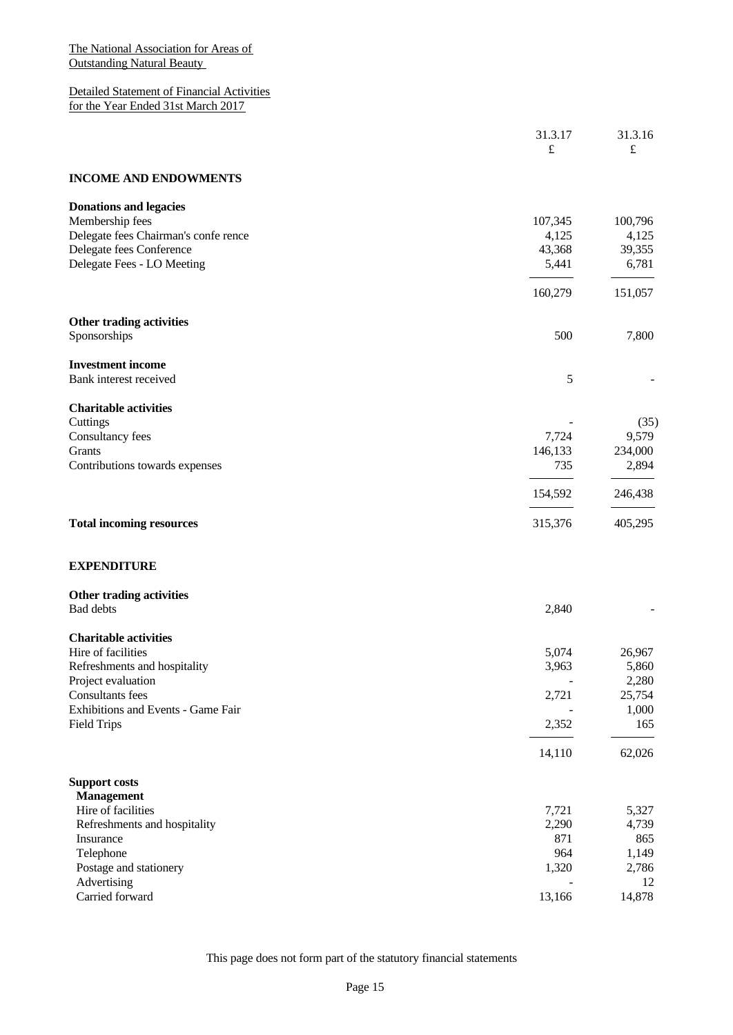Detailed Statement of Financial Activities for the Year Ended 31st March 2017

|                                      | 31.3.17   | 31.3.16   |
|--------------------------------------|-----------|-----------|
|                                      | $\pounds$ | $\pounds$ |
| <b>INCOME AND ENDOWMENTS</b>         |           |           |
| <b>Donations and legacies</b>        |           |           |
| Membership fees                      | 107,345   | 100,796   |
| Delegate fees Chairman's confe rence | 4,125     | 4,125     |
| Delegate fees Conference             | 43,368    | 39,355    |
| Delegate Fees - LO Meeting           | 5,441     | 6,781     |
|                                      |           |           |
|                                      | 160,279   | 151,057   |
| Other trading activities             |           |           |
| Sponsorships                         | 500       | 7,800     |
| <b>Investment income</b>             |           |           |
| Bank interest received               | 5         |           |
| <b>Charitable activities</b>         |           |           |
| Cuttings                             |           | (35)      |
| Consultancy fees                     | 7,724     | 9,579     |
| Grants                               | 146,133   | 234,000   |
| Contributions towards expenses       | 735       | 2,894     |
|                                      | 154,592   | 246,438   |
| <b>Total incoming resources</b>      | 315,376   | 405,295   |
| <b>EXPENDITURE</b>                   |           |           |
| Other trading activities             |           |           |
| Bad debts                            | 2,840     |           |
| <b>Charitable activities</b>         |           |           |
| Hire of facilities                   | 5,074     | 26,967    |
| Refreshments and hospitality         | 3,963     | 5,860     |
| Project evaluation                   |           | 2,280     |
| Consultants fees                     | 2,721     | 25,754    |
| Exhibitions and Events - Game Fair   |           | 1,000     |
| <b>Field Trips</b>                   | 2,352     | 165       |
|                                      | 14,110    | 62,026    |
| <b>Support costs</b>                 |           |           |
| <b>Management</b>                    |           |           |
| Hire of facilities                   | 7,721     | 5,327     |
| Refreshments and hospitality         | 2,290     | 4,739     |
| Insurance                            | 871       | 865       |
| Telephone                            | 964       | 1,149     |
| Postage and stationery               | 1,320     | 2,786     |
| Advertising                          |           | 12        |
| Carried forward                      | 13,166    | 14,878    |
|                                      |           |           |

This page does not form part of the statutory financial statements